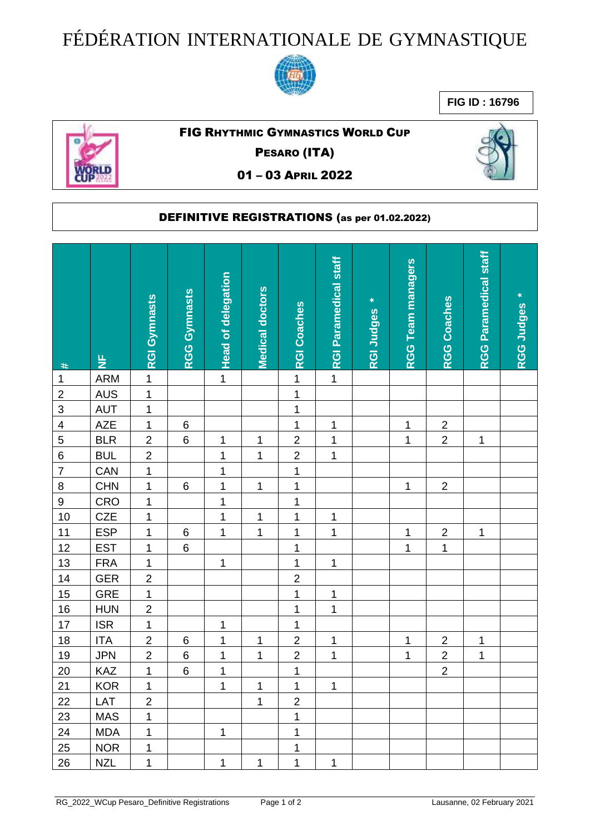## FÉDÉRATION INTERNATIONALE DE GYMNASTIQUE



**FIG ID : 16796**



## FIG RHYTHMIC GYMNASTICS WORLD CUP

PESARO (ITA)

01 – 03 APRIL 2022



## DEFINITIVE REGISTRATIONS (as per 01.02.2022)

|                |               | <b>RGI Gymnasts</b> | <b>RGG Gymnasts</b> | <b>Head of delegation</b> | <b>Medical doctors</b> | <b>RGI Coaches</b> | RGI Paramedical staff | ×<br>RGI Judges | <b>RGG Team managers</b> | RGG Coaches             | <b>RGG Paramedical staff</b> | ×<br>RGG Judges |
|----------------|---------------|---------------------|---------------------|---------------------------|------------------------|--------------------|-----------------------|-----------------|--------------------------|-------------------------|------------------------------|-----------------|
| #              | $\frac{L}{Z}$ |                     |                     |                           |                        |                    |                       |                 |                          |                         |                              |                 |
| $\mathbf 1$    | <b>ARM</b>    | $\mathbf 1$         |                     | $\mathbf{1}$              |                        | $\mathbf 1$        | $\mathbf{1}$          |                 |                          |                         |                              |                 |
| $\overline{2}$ | <b>AUS</b>    | $\mathbf{1}$        |                     |                           |                        | 1                  |                       |                 |                          |                         |                              |                 |
| $\overline{3}$ | <b>AUT</b>    | $\mathbf{1}$        |                     |                           |                        | $\overline{1}$     |                       |                 |                          |                         |                              |                 |
| $\overline{4}$ | AZE           | $\mathbf{1}$        | $\,6$               |                           |                        | 1                  | 1                     |                 | $\mathbf 1$              | $\sqrt{2}$              |                              |                 |
| $\overline{5}$ | <b>BLR</b>    | $\overline{2}$      | $\,6$               | 1                         | 1                      | $\overline{c}$     | 1                     |                 | $\mathbf 1$              | $\overline{2}$          | 1                            |                 |
| $\overline{6}$ | <b>BUL</b>    | $\overline{c}$      |                     | $\mathbf 1$               | 1                      | $\mathbf 2$        | 1                     |                 |                          |                         |                              |                 |
| $\overline{7}$ | CAN           | $\mathbf{1}$        |                     | $\mathbf 1$               |                        | $\mathbf 1$        |                       |                 |                          |                         |                              |                 |
| 8              | <b>CHN</b>    | 1                   | $\,$ 6 $\,$         | $\mathbf 1$               | 1                      | $\mathbf 1$        |                       |                 | $\mathbf 1$              | $\boldsymbol{2}$        |                              |                 |
| $\overline{9}$ | CRO           | $\mathbf{1}$        |                     | $\mathbf 1$               |                        | $\mathbf 1$        |                       |                 |                          |                         |                              |                 |
| 10             | <b>CZE</b>    | $\mathbf 1$         |                     | $\mathbf 1$               | 1                      | $\mathbf 1$        | 1                     |                 |                          |                         |                              |                 |
| 11             | <b>ESP</b>    | $\mathbf{1}$        | $\,6$               | $\mathbf{1}$              | 1                      | $\mathbf 1$        | 1                     |                 | 1                        | $\sqrt{2}$              | 1                            |                 |
| 12             | <b>EST</b>    | 1                   | $\,6$               |                           |                        | 1                  |                       |                 | $\mathbf 1$              | 1                       |                              |                 |
| 13             | <b>FRA</b>    | $\mathbf 1$         |                     | 1                         |                        | 1                  | 1                     |                 |                          |                         |                              |                 |
| 14             | <b>GER</b>    | $\overline{2}$      |                     |                           |                        | $\overline{2}$     |                       |                 |                          |                         |                              |                 |
| 15             | GRE           | $\overline{1}$      |                     |                           |                        | $\mathbf 1$        | 1                     |                 |                          |                         |                              |                 |
| 16             | <b>HUN</b>    | $\overline{2}$      |                     |                           |                        | $\mathbf 1$        | $\mathbf 1$           |                 |                          |                         |                              |                 |
| 17             | <b>ISR</b>    | $\overline{1}$      |                     | 1                         |                        | $\mathbf 1$        |                       |                 |                          |                         |                              |                 |
| 18             | <b>ITA</b>    | $\overline{2}$      | $\,6$               | $\mathbf 1$               | 1                      | $\mathbf 2$        | 1                     |                 | 1                        | $\overline{c}$          | 1                            |                 |
| <u>19</u>      | <b>JPN</b>    | $\overline{c}$      | $\,$ 6 $\,$         | 1                         | 1                      | $\overline{2}$     | $\mathbf 1$           |                 | 1                        | $\overline{\mathbf{c}}$ | 1                            |                 |
| 20             | KAZ           | $\mathbf 1$         | $\,$ 6 $\,$         | $\mathbf 1$               |                        | $\mathbf 1$        |                       |                 |                          | $\overline{2}$          |                              |                 |
| 21             | KOR           | $\overline{1}$      |                     | $\overline{1}$            | $\mathbf{1}$           | $\overline{1}$     | $\mathbf 1$           |                 |                          |                         |                              |                 |
| 22             | LAT           | $\overline{2}$      |                     |                           | $\mathbf{1}$           | $\overline{2}$     |                       |                 |                          |                         |                              |                 |
| 23             | <b>MAS</b>    | $\mathbf{1}$        |                     |                           |                        | 1                  |                       |                 |                          |                         |                              |                 |
| 24             | <b>MDA</b>    | $\mathbf{1}$        |                     | $\mathbf 1$               |                        | 1                  |                       |                 |                          |                         |                              |                 |
| 25             | <b>NOR</b>    | $\mathbf 1$         |                     |                           |                        | 1                  |                       |                 |                          |                         |                              |                 |
| 26             | <b>NZL</b>    | $\mathbf 1$         |                     | $\mathbf 1$               | 1                      | 1                  | 1                     |                 |                          |                         |                              |                 |